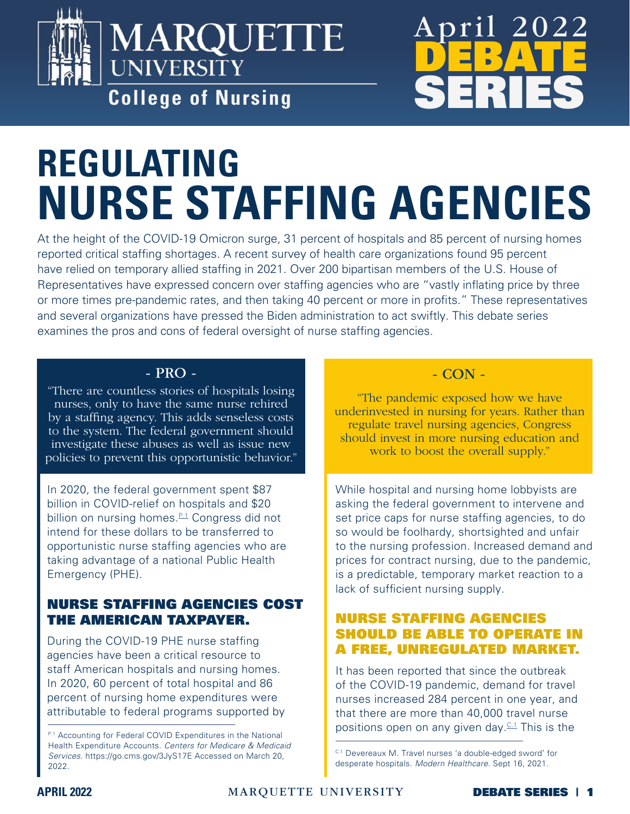

# MARQUETTE **UNIVERSITY College of Nursing**



# **REGULATING NURSE STAFFING AGENCIES**

At the height of the COVID-19 Omicron surge, 31 percent of hospitals and 85 percent of nursing homes reported critical staffing shortages. A recent survey of health care organizations found 95 percent have relied on temporary allied staffing in 2021. Over 200 bipartisan members of the U.S. House of Representatives have expressed concern over staffing agencies who are "vastly inflating price by three or more times pre-pandemic rates, and then taking 40 percent or more in profits." These representatives and several organizations have pressed the Biden administration to act swiftly. This debate series examines the pros and cons of federal oversight of nurse staffing agencies.

### - PRO -

"There are countless stories of hospitals losing nurses, only to have the same nurse rehired by a staffing agency. This adds senseless costs to the system. The federal government should investigate these abuses as well as issue new policies to prevent this opportunistic behavior."

In 2020, the federal government spent \$87 billion in COVID-relief on hospitals and \$20 billion on nursing homes.<sup>[P.1](#page-0-0)</sup> Congress did not intend for these dollars to be transferred to opportunistic nurse staffing agencies who are taking advantage of a national Public Health Emergency (PHE).

### NURSE STAFFING AGENCIES COST THE AMERICAN TAXPAYER.

During the COVID-19 PHE nurse staffing agencies have been a critical resource to staff American hospitals and nursing homes. In 2020, 60 percent of total hospital and 86 percent of nursing home expenditures were attributable to federal programs supported by

### - CON -

"The pandemic exposed how we have underinvested in nursing for years. Rather than regulate travel nursing agencies, Congress should invest in more nursing education and work to boost the overall supply."

While hospital and nursing home lobbyists are asking the federal government to intervene and set price caps for nurse staffing agencies, to do so would be foolhardy, shortsighted and unfair to the nursing profession. Increased demand and prices for contract nursing, due to the pandemic, is a predictable, temporary market reaction to a lack of sufficient nursing supply.

### NURSE STAFFING AGENCIES SHOULD BE ABLE TO OPERATE IN A FREE, UNREGULATED MARKET.

It has been reported that since the outbreak of the COVID-19 pandemic, demand for travel nurses increased 284 percent in one year, and that there are more than 40,000 travel nurse positions open on any given day.  $C<sub>1</sub>$  This is the

<span id="page-0-0"></span>P.1 Accounting for Federal COVID Expenditures in the National Health Expenditure Accounts. *Centers for Medicare & Medicaid Services*. https://go.cms.gov/3JyS17E Accessed on March 20, 2022.

<span id="page-0-1"></span>C.1 Devereaux M. Travel nurses 'a double-edged sword' for desperate hospitals. *Modern Healthcare*. Sept 16, 2021.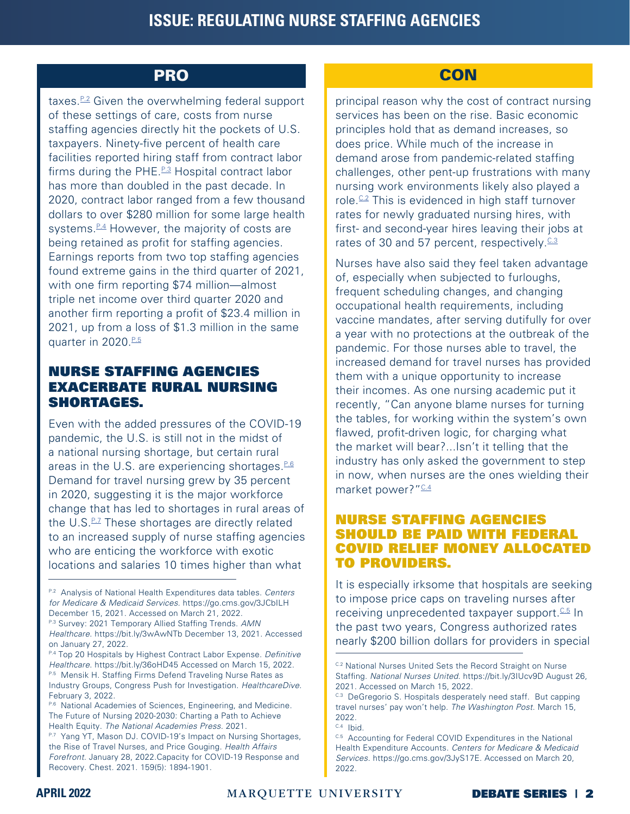### PRO And the state of the contract of the contract of the contract of the contract of the contract of the contract of the contract of the contract of the contract of the contract of the contract of the contract of the contr

taxes.<sup>P.2</sup> Given the overwhelming federal support of these settings of care, costs from nurse staffing agencies directly hit the pockets of U.S. taxpayers. Ninety-five percent of health care facilities reported hiring staff from contract labor firms during the PHE. $P=3$  Hospital contract labor has more than doubled in the past decade. In 2020, contract labor ranged from a few thousand dollars to over \$280 million for some large health systems. $P_4$  However, the majority of costs are being retained as profit for staffing agencies. Earnings reports from two top staffing agencies found extreme gains in the third quarter of 2021, with one firm reporting \$74 million—almost triple net income over third quarter 2020 and another firm reporting a profit of \$23.4 million in 2021, up from a loss of \$1.3 million in the same quarter in 2020.<sup>[P.5](#page-1-3)</sup>

### NURSE STAFFING AGENCIES EXACERBATE RURAL NURSING SHORTAGES.

Even with the added pressures of the COVID-19 pandemic, the U.S. is still not in the midst of a national nursing shortage, but certain rural areas in the U.S. are experiencing shortages. $P.6$ Demand for travel nursing grew by 35 percent in 2020, suggesting it is the major workforce change that has led to shortages in rural areas of the  $U.S.P.\!\!2$  These shortages are directly related to an increased supply of nurse staffing agencies who are enticing the workforce with exotic locations and salaries 10 times higher than what

principal reason why the cost of contract nursing services has been on the rise. Basic economic principles hold that as demand increases, so does price. While much of the increase in demand arose from pandemic-related staffing challenges, other pent-up frustrations with many nursing work environments likely also played a role. $C<sup>2</sup>$  This is evidenced in high staff turnover rates for newly graduated nursing hires, with first- and second-year hires leaving their jobs at rates of 30 and 57 percent, respectively.<sup>[C.3](#page-1-7)</sup>

Nurses have also said they feel taken advantage of, especially when subjected to furloughs, frequent scheduling changes, and changing occupational health requirements, including vaccine mandates, after serving dutifully for over a year with no protections at the outbreak of the pandemic. For those nurses able to travel, the increased demand for travel nurses has provided them with a unique opportunity to increase their incomes. As one nursing academic put it recently, "Can anyone blame nurses for turning the tables, for working within the system's own flawed, profit-driven logic, for charging what the market will bear?...Isn't it telling that the industry has only asked the government to step in now, when nurses are the ones wielding their market power? ["C.4](#page-1-8)

### NURSE STAFFING AGENCIES SHOULD BE PAID WITH FEDERAL COVID RELIEF MONEY ALLOCATED TO PROVIDERS.

It is especially irksome that hospitals are seeking to impose price caps on traveling nurses after receiving unprecedented taxpayer support.  $C_5$  In the past two years, Congress authorized rates nearly \$200 billion dollars for providers in special

<span id="page-1-0"></span>P.2 Analysis of National Health Expenditures data tables. *Centers for Medicare & Medicaid Services*. https://go.cms.gov/3JCbILH December 15, 2021. Accessed on March 21, 2022.

<span id="page-1-1"></span>P.3 Survey: 2021 Temporary Allied Staffing Trends. *AMN Healthcare*. https://bit.ly/3wAwNTb December 13, 2021. Accessed on January 27, 2022.

<span id="page-1-3"></span><span id="page-1-2"></span>P.4 Top 20 Hospitals by Highest Contract Labor Expense. Definitive *Healthcare*. https://bit.ly/36oHD45 Accessed on March 15, 2022. P.5 Mensik H. Staffing Firms Defend Traveling Nurse Rates as Industry Groups, Congress Push for Investigation. *HealthcareDive*. February 3, 2022.

<span id="page-1-4"></span>P.6 National Academies of Sciences, Engineering, and Medicine. The Future of Nursing 2020-2030: Charting a Path to Achieve Health Equity. *The National Academies Press*. 2021.

<span id="page-1-5"></span>P.7 Yang YT, Mason DJ. COVID-19's Impact on Nursing Shortages, the Rise of Travel Nurses, and Price Gouging. *Health Affairs Forefront*. January 28, 2022.Capacity for COVID-19 Response and Recovery. Chest. 2021. 159(5): 1894-1901.

<span id="page-1-6"></span>C.2 National Nurses United Sets the Record Straight on Nurse Staffing. *National Nurses United*. https://bit.ly/3IUcv9D August 26, 2021. Accessed on March 15, 2022.

<span id="page-1-7"></span>C.3 DeGregorio S. Hospitals desperately need staff. But capping travel nurses' pay won't help. *The Washington Post*. March 15, 2022.

<span id="page-1-8"></span>C.4 Ibid.

<span id="page-1-9"></span>C.5 Accounting for Federal COVID Expenditures in the National Health Expenditure Accounts. *Centers for Medicare & Medicaid Services*. https://go.cms.gov/3JyS17E. Accessed on March 20, 2022.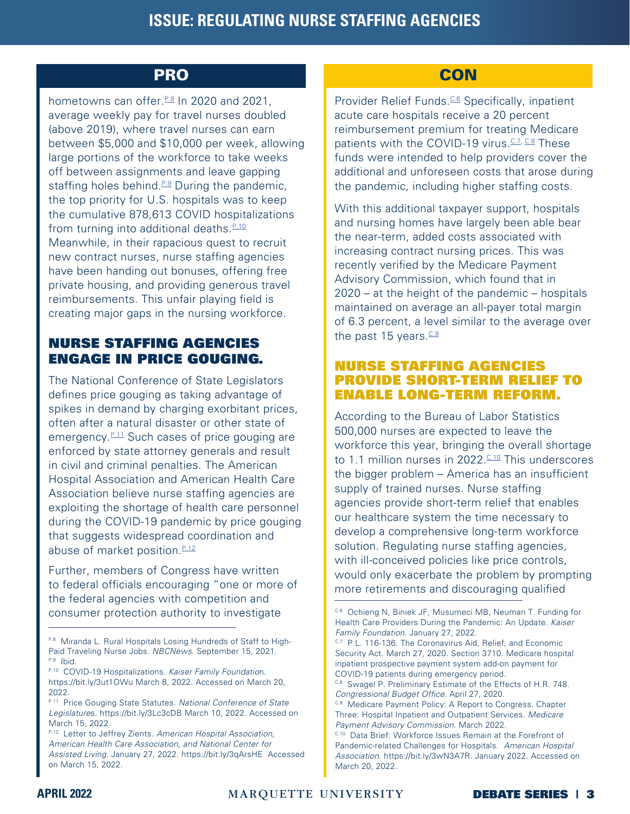hometowns can offer. $P.8$  In 2020 and 2021. average weekly pay for travel nurses doubled (above 2019), where travel nurses can earn between \$5,000 and \$10,000 per week, allowing large portions of the workforce to take weeks off between assignments and leave gapping staffing holes behind. $P.9$  During the pandemic, the top priority for U.S. hospitals was to keep the cumulative 878,613 COVID hospitalizations from turning into additional deaths. $P.10$ Meanwhile, in their rapacious quest to recruit new contract nurses, nurse staffing agencies have been handing out bonuses, offering free private housing, and providing generous travel reimbursements. This unfair playing field is creating major gaps in the nursing workforce.

### NURSE STAFFING AGENCIES ENGAGE IN PRICE GOUGING.

The National Conference of State Legislators defines price gouging as taking advantage of spikes in demand by charging exorbitant prices, often after a natural disaster or other state of emergency.<sup>P.11</sup> Such cases of price gouging are enforced by state attorney generals and result in civil and criminal penalties. The American Hospital Association and American Health Care Association believe nurse staffing agencies are exploiting the shortage of health care personnel during the COVID-19 pandemic by price gouging that suggests widespread coordination and abuse of market position. $P.12$ 

Further, members of Congress have written to federal officials encouraging "one or more of the federal agencies with competition and consumer protection authority to investigate

### PRO And the contract of the contract of the contract of the contract of the contract of the contract of the con

Provider Relief Funds.<sup>C.6</sup> Specifically, inpatient acute care hospitals receive a 20 percent reimbursement premium for treating Medicare patients with the COVID-19 virus.  $C_1Z$ ,  $C_2R$  These funds were intended to help providers cover the additional and unforeseen costs that arose during the pandemic, including higher staffing costs.

With this additional taxpayer support, hospitals and nursing homes have largely been able bear the near-term, added costs associated with increasing contract nursing prices. This was recently verified by the Medicare Payment Advisory Commission, which found that in 2020 – at the height of the pandemic – hospitals maintained on average an all-payer total margin of 6.3 percent, a level similar to the average over the past 15 years. $C.9$ 

### NURSE STAFFING AGENCIES PROVIDE SHORT-TERM RELIEF TO ENABLE LONG-TERM REFORM.

According to the Bureau of Labor Statistics 500,000 nurses are expected to leave the workforce this year, bringing the overall shortage to 1.1 million nurses in  $2022 \frac{0.10}{0.11}$  This underscores the bigger problem – America has an insufficient supply of trained nurses. Nurse staffing agencies provide short-term relief that enables our healthcare system the time necessary to develop a comprehensive long-term workforce solution. Regulating nurse staffing agencies, with ill-conceived policies like price controls, would only exacerbate the problem by prompting more retirements and discouraging qualified

<span id="page-2-0"></span>P.8 Miranda L. Rural Hospitals Losing Hundreds of Staff to High-Paid Traveling Nurse Jobs. *NBCNews*. September 15, 2021. P.9 Ibid.

<span id="page-2-1"></span>P.10 COVID-19 Hospitalizations. *Kaiser Family Foundatio*n. https://bit.ly/3ut1OWu March 8, 2022. Accessed on March 20, 2022.

<span id="page-2-2"></span>P.11 Price Gouging State Statutes. *National Conference of State Legislature*s. https://bit.ly/3Lc3cDB March 10, 2022. Accessed on March 15, 2022.

<span id="page-2-3"></span>P.12 Letter to Jeffrey Zients. *American Hospital Association, American Health Care Association, and National Center for Assisted Living*. January 27, 2022. https://bit.ly/3qArsHE Accessed on March 15, 2022.

<span id="page-2-4"></span>C.6 Ochieng N, Biniek JF, Musumeci MB, Neuman T. Funding for Health Care Providers During the Pandemic: An Update. *Kaiser Family Foundation*. January 27, 2022.

<span id="page-2-5"></span>c.7 P.L. 116-136. The Coronavirus Aid, Relief, and Economic Security Act. March 27, 2020. Section 3710. Medicare hospital inpatient prospective payment system add-on payment for COVID-19 patients during emergency period.

<span id="page-2-6"></span>C.8 Swagel P. Preliminary Estimate of the Effects of H.R. 748. Congressional Budget Office. April 27, 2020.

<span id="page-2-7"></span>C.9 Medicare Payment Policy: A Report to Congress. Chapter Three: Hospital Inpatient and Outpatient Services. *Medicare Payment Advisory Commission*. March 2022.

<span id="page-2-8"></span>C.10 Data Brief: Workforce Issues Remain at the Forefront of Pandemic-related Challenges for Hospitals. *American Hospital Association*. https://bit.ly/3wN3A7R. January 2022. Accessed on March 20, 2022.